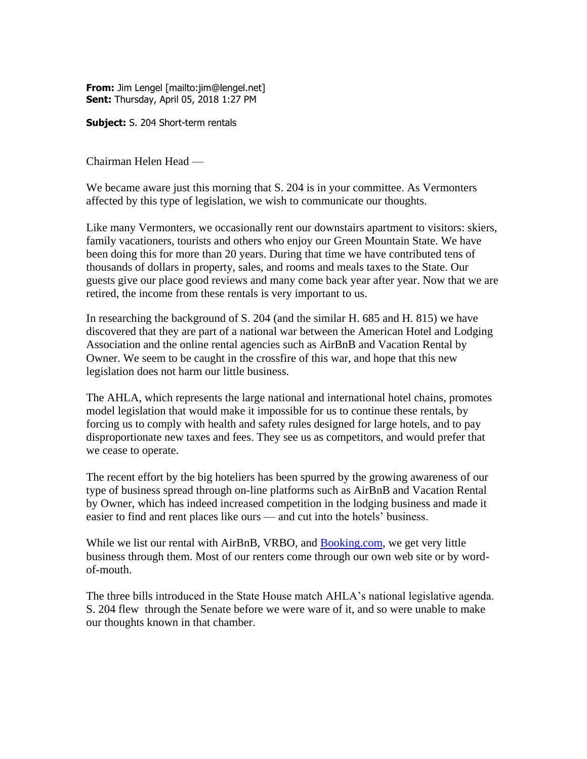**From:** Jim Lengel [mailto:jim@lengel.net] **Sent:** Thursday, April 05, 2018 1:27 PM

**Subject:** S. 204 Short-term rentals

Chairman Helen Head —

We became aware just this morning that S. 204 is in your committee. As Vermonters affected by this type of legislation, we wish to communicate our thoughts.

Like many Vermonters, we occasionally rent our downstairs apartment to visitors: skiers, family vacationers, tourists and others who enjoy our Green Mountain State. We have been doing this for more than 20 years. During that time we have contributed tens of thousands of dollars in property, sales, and rooms and meals taxes to the State. Our guests give our place good reviews and many come back year after year. Now that we are retired, the income from these rentals is very important to us.

In researching the background of S. 204 (and the similar H. 685 and H. 815) we have discovered that they are part of a national war between the American Hotel and Lodging Association and the online rental agencies such as AirBnB and Vacation Rental by Owner. We seem to be caught in the crossfire of this war, and hope that this new legislation does not harm our little business.

The AHLA, which represents the large national and international hotel chains, promotes model legislation that would make it impossible for us to continue these rentals, by forcing us to comply with health and safety rules designed for large hotels, and to pay disproportionate new taxes and fees. They see us as competitors, and would prefer that we cease to operate.

The recent effort by the big hoteliers has been spurred by the growing awareness of our type of business spread through on-line platforms such as AirBnB and Vacation Rental by Owner, which has indeed increased competition in the lodging business and made it easier to find and rent places like ours — and cut into the hotels' business.

While we list our rental with AirBnB, VRBO, and [Booking.com,](http://booking.com/) we get very little business through them. Most of our renters come through our own web site or by wordof-mouth.

The three bills introduced in the State House match AHLA's national legislative agenda. S. 204 flew through the Senate before we were ware of it, and so were unable to make our thoughts known in that chamber.